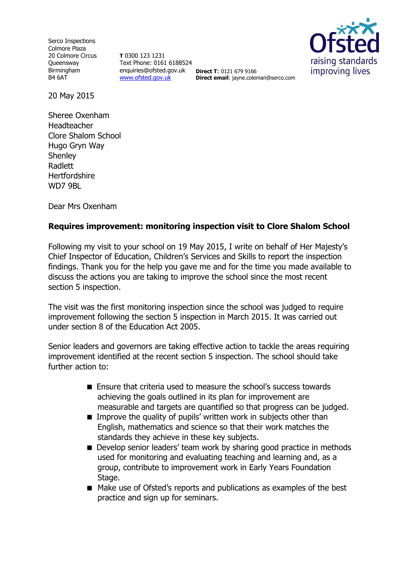Serco Inspections Colmore Plaza 20 Colmore Circus **Oueensway** Birmingham B4 6AT

**T** 0300 123 1231 Text Phone: 0161 6188524 enquiries@ofsted.gov.uk **Direct T**: 0121 679 9166 [www.ofsted.gov.uk](http://www.ofsted.gov.uk/)



**Direct email**: jayne.coleman@serco.com

20 May 2015

Sheree Oxenham Headteacher Clore Shalom School Hugo Gryn Way Shenley Radlett **Hertfordshire** WD7 9BL

Dear Mrs Oxenham

# **Requires improvement: monitoring inspection visit to Clore Shalom School**

Following my visit to your school on 19 May 2015, I write on behalf of Her Majesty's Chief Inspector of Education, Children's Services and Skills to report the inspection findings. Thank you for the help you gave me and for the time you made available to discuss the actions you are taking to improve the school since the most recent section 5 inspection.

The visit was the first monitoring inspection since the school was judged to require improvement following the section 5 inspection in March 2015. It was carried out under section 8 of the Education Act 2005.

Senior leaders and governors are taking effective action to tackle the areas requiring improvement identified at the recent section 5 inspection. The school should take further action to:

- Ensure that criteria used to measure the school's success towards achieving the goals outlined in its plan for improvement are measurable and targets are quantified so that progress can be judged.
- $\blacksquare$  Improve the quality of pupils' written work in subjects other than English, mathematics and science so that their work matches the standards they achieve in these key subjects.
- Develop senior leaders' team work by sharing good practice in methods used for monitoring and evaluating teaching and learning and, as a group, contribute to improvement work in Early Years Foundation Stage.
- Make use of Ofsted's reports and publications as examples of the best practice and sign up for seminars.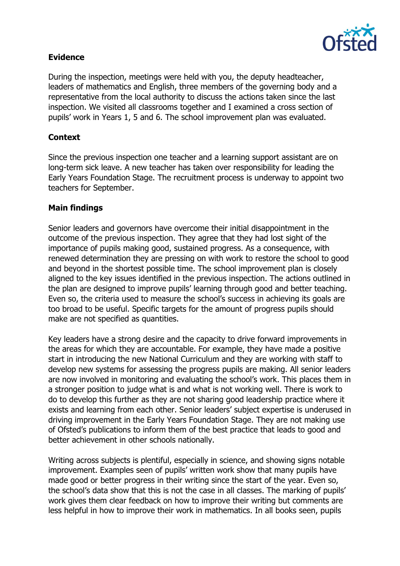

## **Evidence**

During the inspection, meetings were held with you, the deputy headteacher, leaders of mathematics and English, three members of the governing body and a representative from the local authority to discuss the actions taken since the last inspection. We visited all classrooms together and I examined a cross section of pupils' work in Years 1, 5 and 6. The school improvement plan was evaluated.

## **Context**

Since the previous inspection one teacher and a learning support assistant are on long-term sick leave. A new teacher has taken over responsibility for leading the Early Years Foundation Stage. The recruitment process is underway to appoint two teachers for September.

### **Main findings**

Senior leaders and governors have overcome their initial disappointment in the outcome of the previous inspection. They agree that they had lost sight of the importance of pupils making good, sustained progress. As a consequence, with renewed determination they are pressing on with work to restore the school to good and beyond in the shortest possible time. The school improvement plan is closely aligned to the key issues identified in the previous inspection. The actions outlined in the plan are designed to improve pupils' learning through good and better teaching. Even so, the criteria used to measure the school's success in achieving its goals are too broad to be useful. Specific targets for the amount of progress pupils should make are not specified as quantities.

Key leaders have a strong desire and the capacity to drive forward improvements in the areas for which they are accountable. For example, they have made a positive start in introducing the new National Curriculum and they are working with staff to develop new systems for assessing the progress pupils are making. All senior leaders are now involved in monitoring and evaluating the school's work. This places them in a stronger position to judge what is and what is not working well. There is work to do to develop this further as they are not sharing good leadership practice where it exists and learning from each other. Senior leaders' subject expertise is underused in driving improvement in the Early Years Foundation Stage. They are not making use of Ofsted's publications to inform them of the best practice that leads to good and better achievement in other schools nationally.

Writing across subjects is plentiful, especially in science, and showing signs notable improvement. Examples seen of pupils' written work show that many pupils have made good or better progress in their writing since the start of the year. Even so, the school's data show that this is not the case in all classes. The marking of pupils' work gives them clear feedback on how to improve their writing but comments are less helpful in how to improve their work in mathematics. In all books seen, pupils